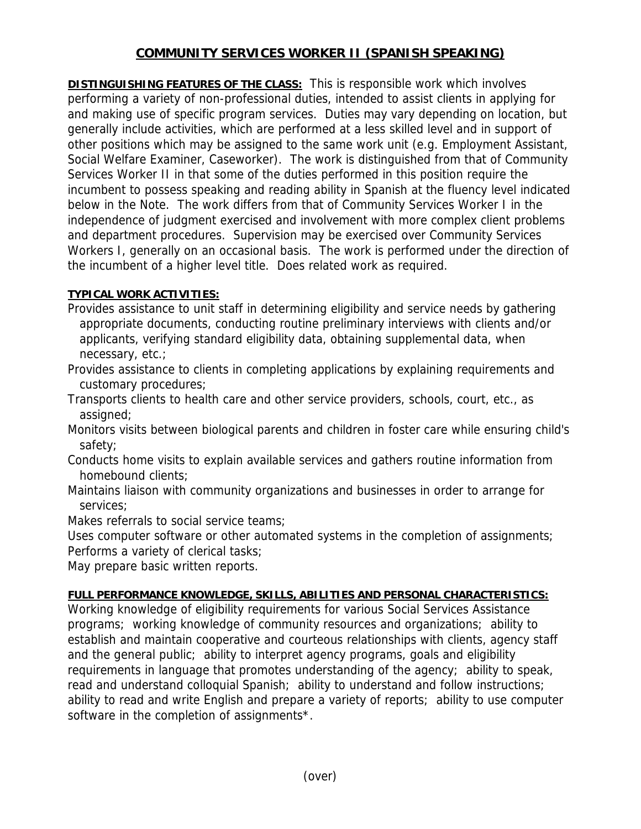## **COMMUNITY SERVICES WORKER II (SPANISH SPEAKING)**

**DISTINGUISHING FEATURES OF THE CLASS:** This is responsible work which involves performing a variety of non-professional duties, intended to assist clients in applying for and making use of specific program services. Duties may vary depending on location, but generally include activities, which are performed at a less skilled level and in support of other positions which may be assigned to the same work unit (e.g. Employment Assistant, Social Welfare Examiner, Caseworker). The work is distinguished from that of Community Services Worker II in that some of the duties performed in this position require the incumbent to possess speaking and reading ability in Spanish at the fluency level indicated below in the Note. The work differs from that of Community Services Worker I in the independence of judgment exercised and involvement with more complex client problems and department procedures. Supervision may be exercised over Community Services Workers I, generally on an occasional basis. The work is performed under the direction of the incumbent of a higher level title. Does related work as required.

## **TYPICAL WORK ACTIVITIES:**

- Provides assistance to unit staff in determining eligibility and service needs by gathering appropriate documents, conducting routine preliminary interviews with clients and/or applicants, verifying standard eligibility data, obtaining supplemental data, when necessary, etc.;
- Provides assistance to clients in completing applications by explaining requirements and customary procedures;
- Transports clients to health care and other service providers, schools, court, etc., as assigned;
- Monitors visits between biological parents and children in foster care while ensuring child's safety;
- Conducts home visits to explain available services and gathers routine information from homebound clients;
- Maintains liaison with community organizations and businesses in order to arrange for services;
- Makes referrals to social service teams;
- Uses computer software or other automated systems in the completion of assignments; Performs a variety of clerical tasks;

May prepare basic written reports.

## **FULL PERFORMANCE KNOWLEDGE, SKILLS, ABILITIES AND PERSONAL CHARACTERISTICS:**

Working knowledge of eligibility requirements for various Social Services Assistance programs; working knowledge of community resources and organizations; ability to establish and maintain cooperative and courteous relationships with clients, agency staff and the general public; ability to interpret agency programs, goals and eligibility requirements in language that promotes understanding of the agency; ability to speak, read and understand colloquial Spanish; ability to understand and follow instructions; ability to read and write English and prepare a variety of reports; ability to use computer software in the completion of assignments\*.